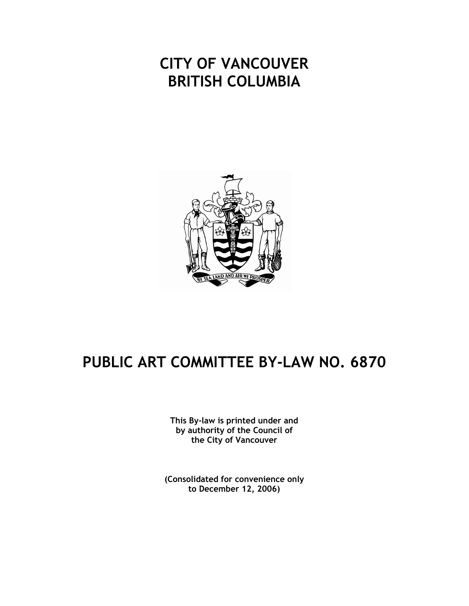# **CITY OF VANCOUVER BRITISH COLUMBIA**



# **PUBLIC ART COMMITTEE BY-LAW NO. 6870**

**This By-law is printed under and by authority of the Council of the City of Vancouver**

**(Consolidated for convenience only to December 12, 2006)**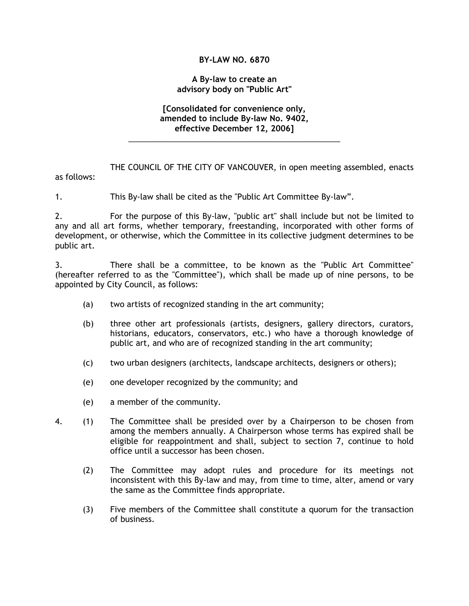# **BY-LAW NO. 6870**

#### **A By-law to create an advisory body on "Public Art"**

### **[Consolidated for convenience only, amended to include By-law No. 9402, effective December 12, 2006]**

\_\_\_\_\_\_\_\_\_\_\_\_\_\_\_\_\_\_\_\_\_\_\_\_\_\_\_\_\_\_\_\_\_\_\_\_\_\_\_\_\_\_\_\_\_\_\_\_

THE COUNCIL OF THE CITY OF VANCOUVER, in open meeting assembled, enacts as follows:

1. This By-law shall be cited as the "Public Art Committee By-law".

2. For the purpose of this By-law, "public art" shall include but not be limited to any and all art forms, whether temporary, freestanding, incorporated with other forms of development, or otherwise, which the Committee in its collective judgment determines to be public art.

3. There shall be a committee, to be known as the "Public Art Committee" (hereafter referred to as the "Committee"), which shall be made up of nine persons, to be appointed by City Council, as follows:

- (a) two artists of recognized standing in the art community;
- (b) three other art professionals (artists, designers, gallery directors, curators, historians, educators, conservators, etc.) who have a thorough knowledge of public art, and who are of recognized standing in the art community;
- (c) two urban designers (architects, landscape architects, designers or others);
- (e) one developer recognized by the community; and
- (e) a member of the community.
- 4. (1) The Committee shall be presided over by a Chairperson to be chosen from among the members annually. A Chairperson whose terms has expired shall be eligible for reappointment and shall, subject to section 7, continue to hold office until a successor has been chosen.
	- (2) The Committee may adopt rules and procedure for its meetings not inconsistent with this By-law and may, from time to time, alter, amend or vary the same as the Committee finds appropriate.
	- (3) Five members of the Committee shall constitute a quorum for the transaction of business.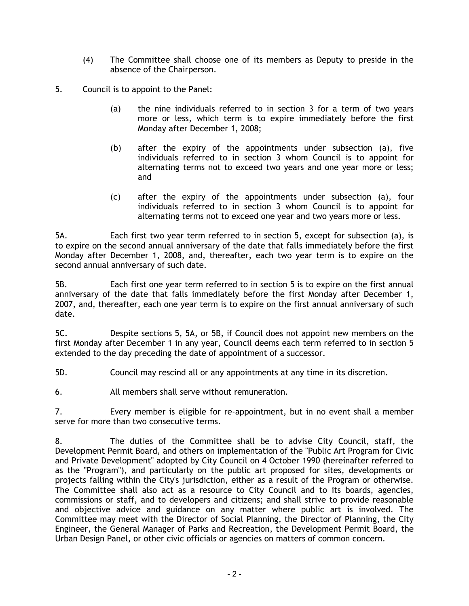- (4) The Committee shall choose one of its members as Deputy to preside in the absence of the Chairperson.
- 5. Council is to appoint to the Panel:
	- (a) the nine individuals referred to in section 3 for a term of two years more or less, which term is to expire immediately before the first Monday after December 1, 2008;
	- (b) after the expiry of the appointments under subsection (a), five individuals referred to in section 3 whom Council is to appoint for alternating terms not to exceed two years and one year more or less; and
	- (c) after the expiry of the appointments under subsection (a), four individuals referred to in section 3 whom Council is to appoint for alternating terms not to exceed one year and two years more or less.

5A. Each first two year term referred to in section 5, except for subsection (a), is to expire on the second annual anniversary of the date that falls immediately before the first Monday after December 1, 2008, and, thereafter, each two year term is to expire on the second annual anniversary of such date.

5B. Each first one year term referred to in section 5 is to expire on the first annual anniversary of the date that falls immediately before the first Monday after December 1, 2007, and, thereafter, each one year term is to expire on the first annual anniversary of such date.

5C. Despite sections 5, 5A, or 5B, if Council does not appoint new members on the first Monday after December 1 in any year, Council deems each term referred to in section 5 extended to the day preceding the date of appointment of a successor.

5D. Council may rescind all or any appointments at any time in its discretion.

6. All members shall serve without remuneration.

7. Every member is eligible for re-appointment, but in no event shall a member serve for more than two consecutive terms.

8. The duties of the Committee shall be to advise City Council, staff, the Development Permit Board, and others on implementation of the "Public Art Program for Civic and Private Development" adopted by City Council on 4 October 1990 (hereinafter referred to as the "Program"), and particularly on the public art proposed for sites, developments or projects falling within the City's jurisdiction, either as a result of the Program or otherwise. The Committee shall also act as a resource to City Council and to its boards, agencies, commissions or staff, and to developers and citizens; and shall strive to provide reasonable and objective advice and guidance on any matter where public art is involved. The Committee may meet with the Director of Social Planning, the Director of Planning, the City Engineer, the General Manager of Parks and Recreation, the Development Permit Board, the Urban Design Panel, or other civic officials or agencies on matters of common concern.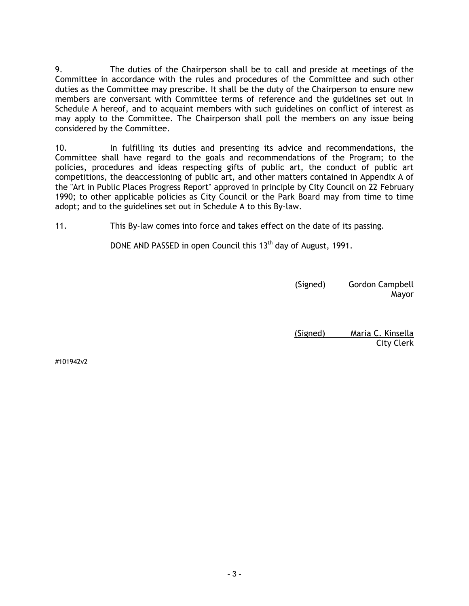9. The duties of the Chairperson shall be to call and preside at meetings of the Committee in accordance with the rules and procedures of the Committee and such other duties as the Committee may prescribe. It shall be the duty of the Chairperson to ensure new members are conversant with Committee terms of reference and the guidelines set out in Schedule A hereof, and to acquaint members with such guidelines on conflict of interest as may apply to the Committee. The Chairperson shall poll the members on any issue being considered by the Committee.

10. In fulfilling its duties and presenting its advice and recommendations, the Committee shall have regard to the goals and recommendations of the Program; to the policies, procedures and ideas respecting gifts of public art, the conduct of public art competitions, the deaccessioning of public art, and other matters contained in Appendix A of the "Art in Public Places Progress Report" approved in principle by City Council on 22 February 1990; to other applicable policies as City Council or the Park Board may from time to time adopt; and to the guidelines set out in Schedule A to this By-law.

11. This By-law comes into force and takes effect on the date of its passing.

DONE AND PASSED in open Council this 13<sup>th</sup> day of August, 1991.

(Signed) Gordon Campbell Mayor

(Signed) Maria C. Kinsella City Clerk

#101942v2